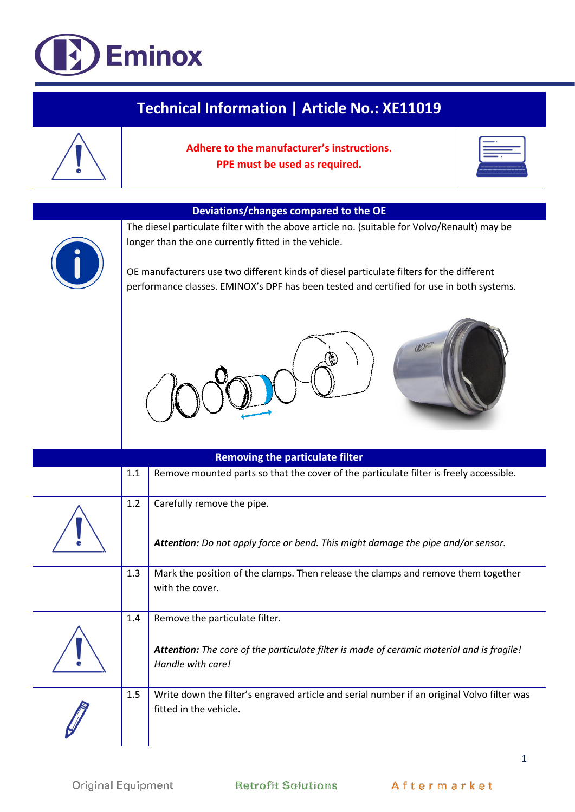## **Eminox**

| Technical Information   Article No.: XE11019 |     |                                                                                                                                                                                                                                                                                                                                                                                       |  |  |
|----------------------------------------------|-----|---------------------------------------------------------------------------------------------------------------------------------------------------------------------------------------------------------------------------------------------------------------------------------------------------------------------------------------------------------------------------------------|--|--|
|                                              |     | Adhere to the manufacturer's instructions.<br>PPE must be used as required.                                                                                                                                                                                                                                                                                                           |  |  |
|                                              |     |                                                                                                                                                                                                                                                                                                                                                                                       |  |  |
|                                              |     | Deviations/changes compared to the OE<br>The diesel particulate filter with the above article no. (suitable for Volvo/Renault) may be<br>longer than the one currently fitted in the vehicle.<br>OE manufacturers use two different kinds of diesel particulate filters for the different<br>performance classes. EMINOX's DPF has been tested and certified for use in both systems. |  |  |
|                                              |     |                                                                                                                                                                                                                                                                                                                                                                                       |  |  |
|                                              |     | <b>Removing the particulate filter</b>                                                                                                                                                                                                                                                                                                                                                |  |  |
|                                              | 1.1 | Remove mounted parts so that the cover of the particulate filter is freely accessible.                                                                                                                                                                                                                                                                                                |  |  |
|                                              | 1.2 | Carefully remove the pipe.<br>Attention: Do not apply force or bend. This might damage the pipe and/or sensor.                                                                                                                                                                                                                                                                        |  |  |
|                                              | 1.3 | Mark the position of the clamps. Then release the clamps and remove them together<br>with the cover.                                                                                                                                                                                                                                                                                  |  |  |
|                                              | 1.4 | Remove the particulate filter.<br>Attention: The core of the particulate filter is made of ceramic material and is fragile!<br>Handle with care!                                                                                                                                                                                                                                      |  |  |
|                                              | 1.5 | Write down the filter's engraved article and serial number if an original Volvo filter was<br>fitted in the vehicle.                                                                                                                                                                                                                                                                  |  |  |

 $\mathbf 1$